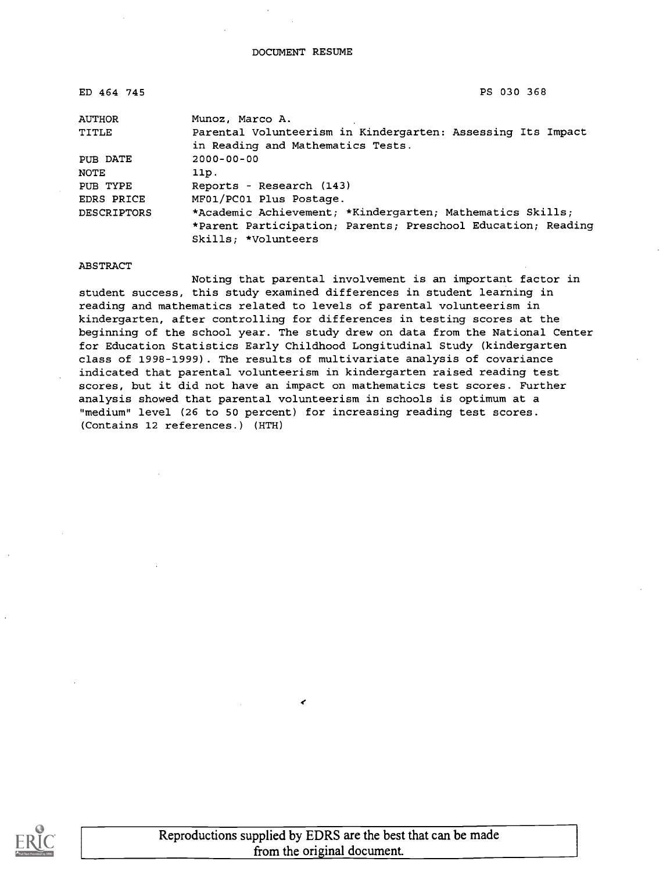| ED 464 745                                                                  | PS 030 368                                                   |  |  |  |
|-----------------------------------------------------------------------------|--------------------------------------------------------------|--|--|--|
| <b>AUTHOR</b>                                                               | Munoz, Marco A.                                              |  |  |  |
| Parental Volunteerism in Kindergarten: Assessing Its Impact<br><b>TITLE</b> |                                                              |  |  |  |
|                                                                             | in Reading and Mathematics Tests.                            |  |  |  |
| PUB DATE                                                                    | $2000 - 00 - 00$                                             |  |  |  |
| NOTE                                                                        | 11p.                                                         |  |  |  |
| PUB TYPE                                                                    | Reports - Research (143)                                     |  |  |  |
| <b>EDRS PRICE</b>                                                           | MF01/PC01 Plus Postage.                                      |  |  |  |
| <b>DESCRIPTORS</b>                                                          | *Academic Achievement; *Kindergarten; Mathematics Skills;    |  |  |  |
|                                                                             | *Parent Participation; Parents; Preschool Education; Reading |  |  |  |
|                                                                             | Skills; *Volunteers                                          |  |  |  |

#### ABSTRACT

Noting that parental involvement is an important factor in student success, this study examined differences in student learning in reading and mathematics related to levels of parental volunteerism in kindergarten, after controlling for differences in testing scores at the beginning of the school year. The study drew on data from the National Center for Education Statistics Early Childhood Longitudinal Study (kindergarten class of 1998-1999). The results of multivariate analysis of covariance indicated that parental volunteerism in kindergarten raised reading test scores, but it did not have an impact on mathematics test scores. Further analysis showed that parental volunteerism in schools is optimum at a "medium" level (26 to 50 percent) for increasing reading test scores. (Contains 12 references.) (HTH)



 $\epsilon$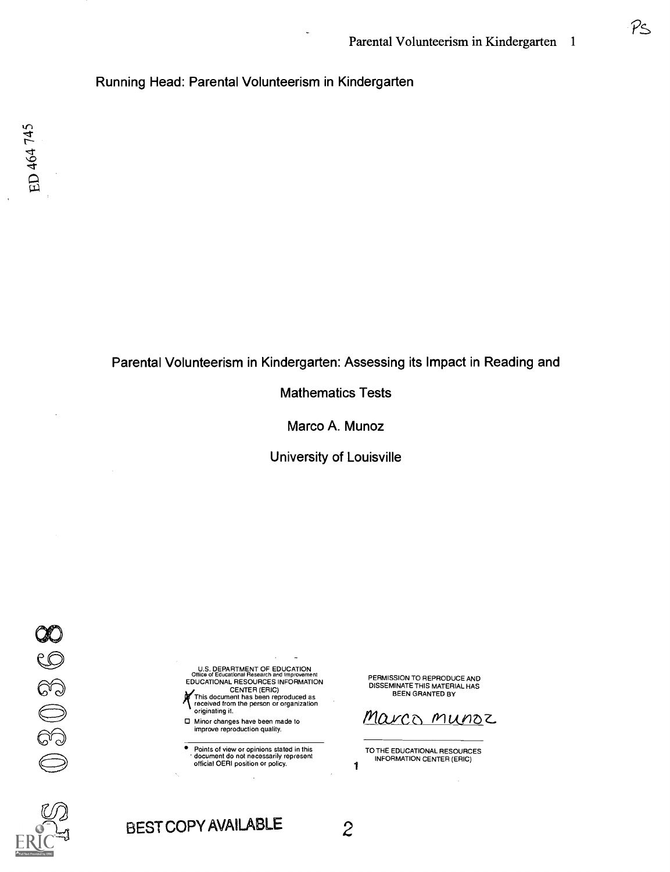$\mathcal{P}$ <

## Running Head: Parental Volunteerism in Kindergarten

## Parental Volunteerism in Kindergarten: Assessing its Impact in Reading and

Mathematics Tests

Marco A. Munoz

University of Louisville

030360



U.S. DEPARTMENT OF EDUCATION<br>Office of Educational Research and Improvement<br>EDUCATIONAL RESOURCES INFORMATION ,<br>This document has been reproduced as<br>received from the person or organization

(received) originating it. 0 Minor changes have been made to

improve reproduction quality.

Points of view or opinions stated in this document do not necessarily represent official OERI position or policy.

PERMISSION TO REPRODUCE AND DISSEMINATE THIS MATERIAL HAS BEEN GRANTED BY

<u>Marco</u> munoz

TO THE EDUCATIONAL RESOURCES INFORMATION CENTER (ERIC)

1

BEST COPY AVAILABLE 2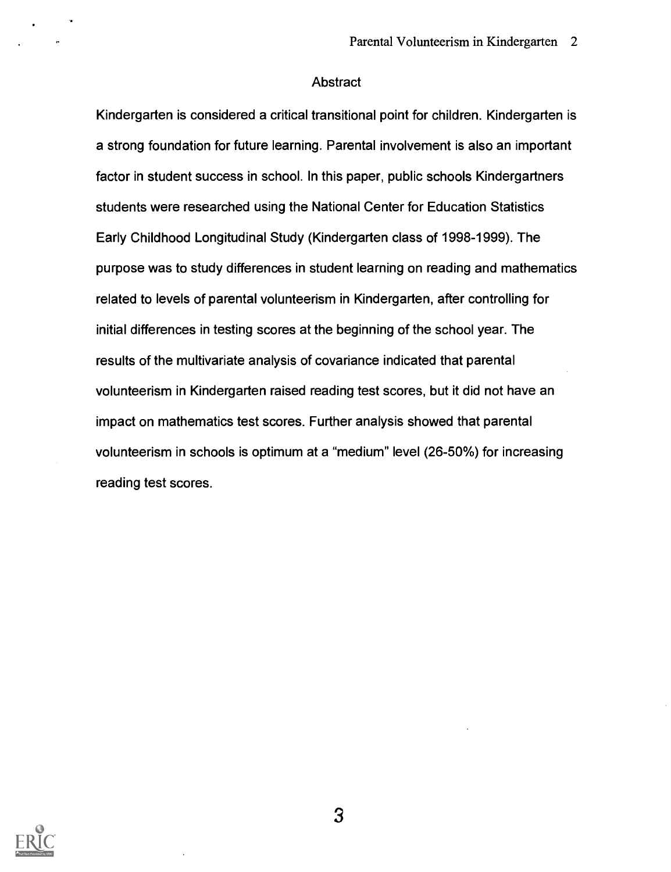#### Abstract

Kindergarten is considered a critical transitional point for children. Kindergarten is a strong foundation for future learning. Parental involvement is also an important factor in student success in school. In this paper, public schools Kindergartners students were researched using the National Center for Education Statistics Early Childhood Longitudinal Study (Kindergarten class of 1998-1999). The purpose was to study differences in student learning on reading and mathematics related to levels of parental volunteerism in Kindergarten, after controlling for initial differences in testing scores at the beginning of the school year. The results of the multivariate analysis of covariance indicated that parental volunteerism in Kindergarten raised reading test scores, but it did not have an impact on mathematics test scores. Further analysis showed that parental volunteerism in schools is optimum at a "medium" level (26-50%) for increasing reading test scores.

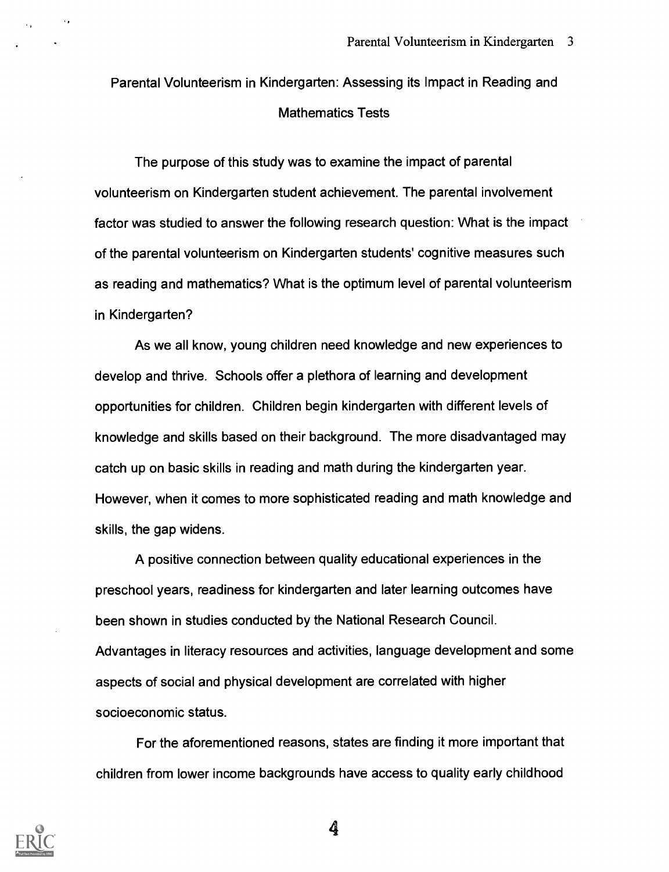# Parental Volunteerism in Kindergarten: Assessing its Impact in Reading and Mathematics Tests

The purpose of this study was to examine the impact of parental volunteerism on Kindergarten student achievement. The parental involvement factor was studied to answer the following research question: What is the impact of the parental volunteerism on Kindergarten students' cognitive measures such as reading and mathematics? What is the optimum level of parental volunteerism in Kindergarten?

As we all know, young children need knowledge and new experiences to develop and thrive. Schools offer a plethora of learning and development opportunities for children. Children begin kindergarten with different levels of knowledge and skills based on their background. The more disadvantaged may catch up on basic skills in reading and math during the kindergarten year. However, when it comes to more sophisticated reading and math knowledge and skills, the gap widens.

A positive connection between quality educational experiences in the preschool years, readiness for kindergarten and later learning outcomes have been shown in studies conducted by the National Research Council. Advantages in literacy resources and activities, language development and some aspects of social and physical development are correlated with higher socioeconomic status.

For the aforementioned reasons, states are finding it more important that children from lower income backgrounds have access to quality early childhood

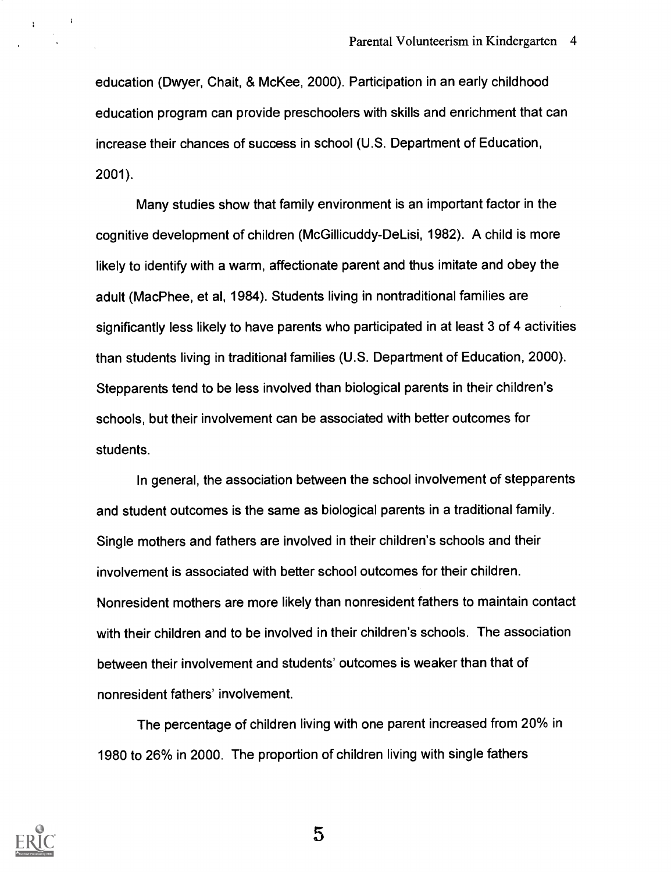education (Dwyer, Chait, & McKee, 2000). Participation in an early childhood education program can provide preschoolers with skills and enrichment that can increase their chances of success in school (U.S. Department of Education, 2001).

Many studies show that family environment is an important factor in the cognitive development of children (McGillicuddy-DeLisi, 1982). A child is more likely to identify with a warm, affectionate parent and thus imitate and obey the adult (MacPhee, et al, 1984). Students living in nontraditional families are significantly less likely to have parents who participated in at least 3 of 4 activities than students living in traditional families (U.S. Department of Education, 2000). Stepparents tend to be less involved than biological parents in their children's schools, but their involvement can be associated with better outcomes for students.

In general, the association between the school involvement of stepparents and student outcomes is the same as biological parents in a traditional family. Single mothers and fathers are involved in their children's schools and their involvement is associated with better school outcomes for their children. Nonresident mothers are more likely than nonresident fathers to maintain contact with their children and to be involved in their children's schools. The association between their involvement and students' outcomes is weaker than that of nonresident fathers' involvement.

The percentage of children living with one parent increased from 20% in 1980 to 26% in 2000. The proportion of children living with single fathers



 $\mathcal{L}$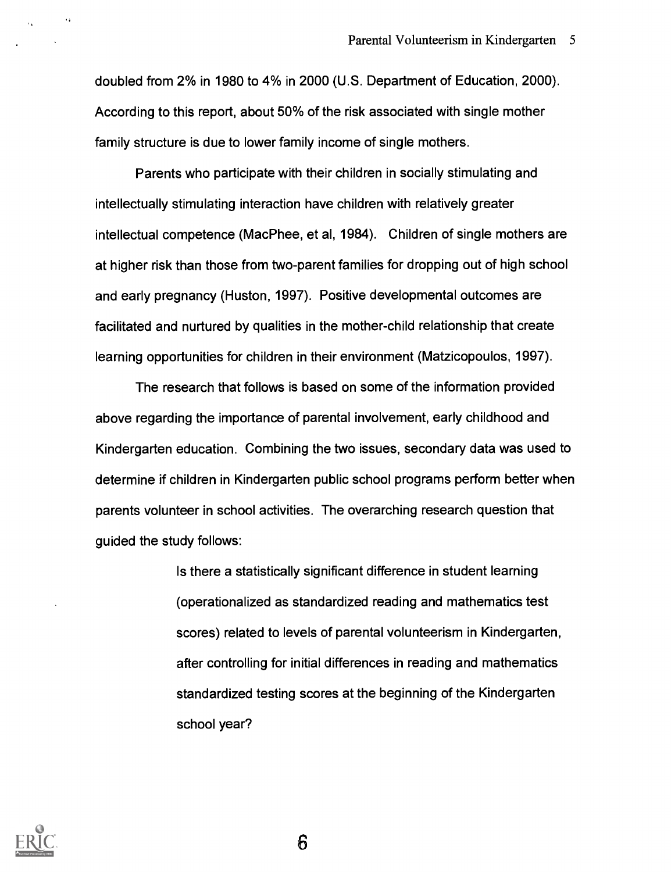doubled from 2% in 1980 to 4% in 2000 (U.S. Department of Education, 2000). According to this report, about 50% of the risk associated with single mother family structure is due to lower family income of single mothers.

Parents who participate with their children in socially stimulating and intellectually stimulating interaction have children with relatively greater intellectual competence (MacPhee, et al, 1984). Children of single mothers are at higher risk than those from two-parent families for dropping out of high school and early pregnancy (Huston, 1997). Positive developmental outcomes are facilitated and nurtured by qualities in the mother-child relationship that create learning opportunities for children in their environment (Matzicopoulos, 1997).

The research that follows is based on some of the information provided above regarding the importance of parental involvement, early childhood and Kindergarten education. Combining the two issues, secondary data was used to determine if children in Kindergarten public school programs perform better when parents volunteer in school activities. The overarching research question that guided the study follows:

> Is there a statistically significant difference in student learning (operationalized as standardized reading and mathematics test scores) related to levels of parental volunteerism in Kindergarten, after controlling for initial differences in reading and mathematics standardized testing scores at the beginning of the Kindergarten school year?

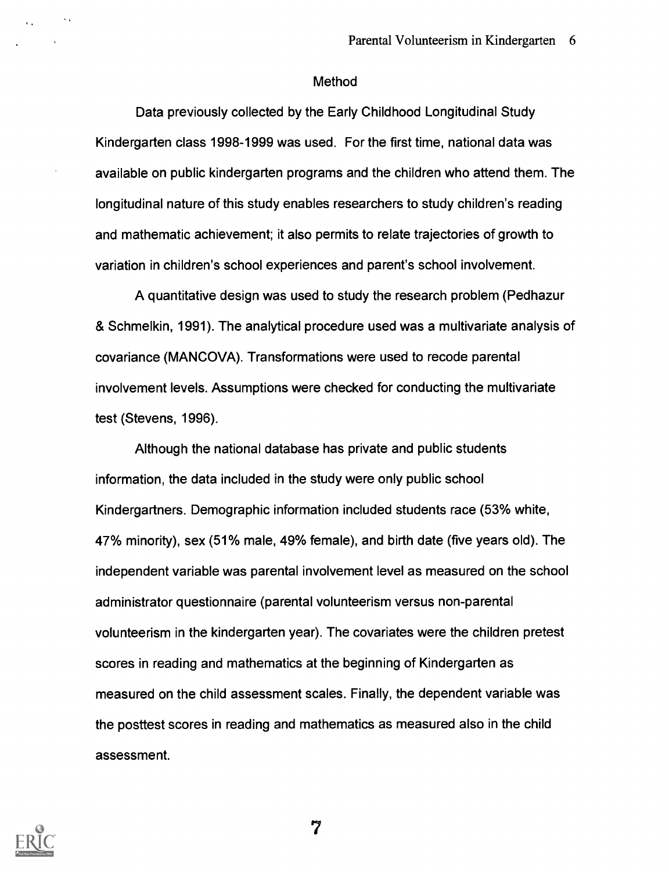#### Method

Data previously collected by the Early Childhood Longitudinal Study Kindergarten class 1998-1999 was used. For the first time, national data was available on public kindergarten programs and the children who attend them. The longitudinal nature of this study enables researchers to study children's reading and mathematic achievement; it also permits to relate trajectories of growth to variation in children's school experiences and parent's school involvement.

A quantitative design was used to study the research problem (Pedhazur & Schmelkin, 1991). The analytical procedure used was a multivariate analysis of covariance (MANCOVA). Transformations were used to recode parental involvement levels. Assumptions were checked for conducting the multivariate test (Stevens, 1996).

Although the national database has private and public students information, the data included in the study were only public school Kindergartners. Demographic information included students race (53% white, 47% minority), sex (51% male, 49% female), and birth date (five years old). The independent variable was parental involvement level as measured on the school administrator questionnaire (parental volunteerism versus non-parental volunteerism in the kindergarten year). The covariates were the children pretest scores in reading and mathematics at the beginning of Kindergarten as measured on the child assessment scales. Finally, the dependent variable was the posttest scores in reading and mathematics as measured also in the child assessment.



 $\sim$  10  $\pm$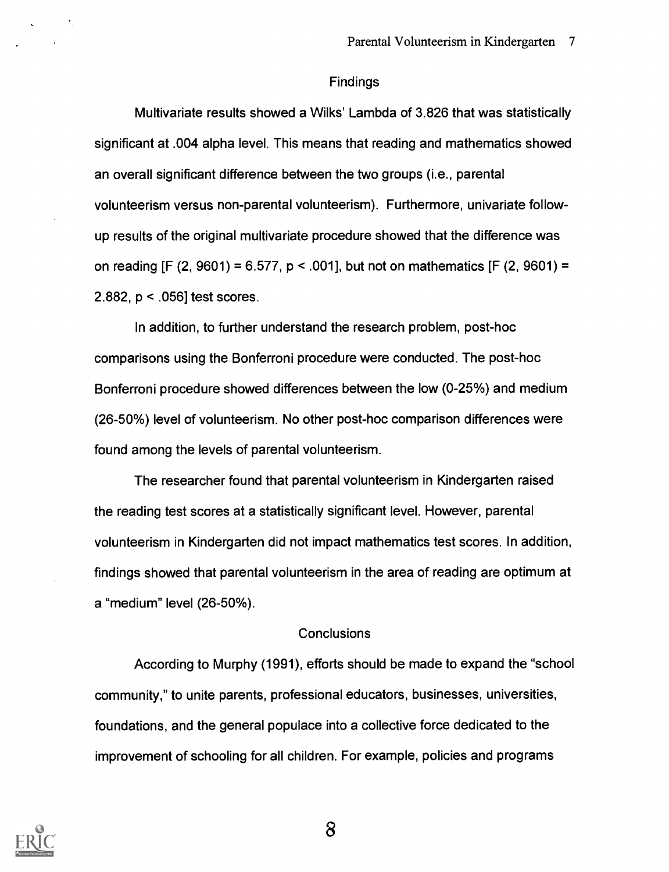#### Findings

Multivariate results showed a Wilks' Lambda of 3.826 that was statistically significant at .004 alpha level. This means that reading and mathematics showed an overall significant difference between the two groups (i.e., parental volunteerism versus non-parental volunteerism). Furthermore, univariate followup results of the original multivariate procedure showed that the difference was on reading [F (2, 9601) = 6.577,  $p < .001$ ], but not on mathematics [F (2, 9601) = 2.882, p < .056] test scores.

In addition, to further understand the research problem, post-hoc comparisons using the Bonferroni procedure were conducted. The post-hoc Bonferroni procedure showed differences between the low (0-25%) and medium (26-50%) level of volunteerism. No other post-hoc comparison differences were found among the levels of parental volunteerism.

The researcher found that parental volunteerism in Kindergarten raised the reading test scores at a statistically significant level. However, parental volunteerism in Kindergarten did not impact mathematics test scores. In addition, findings showed that parental volunteerism in the area of reading are optimum at a "medium" level (26-50%).

### **Conclusions**

According to Murphy (1991), efforts should be made to expand the "school community," to unite parents, professional educators, businesses, universities, foundations, and the general populace into a collective force dedicated to the improvement of schooling for all children. For example, policies and programs

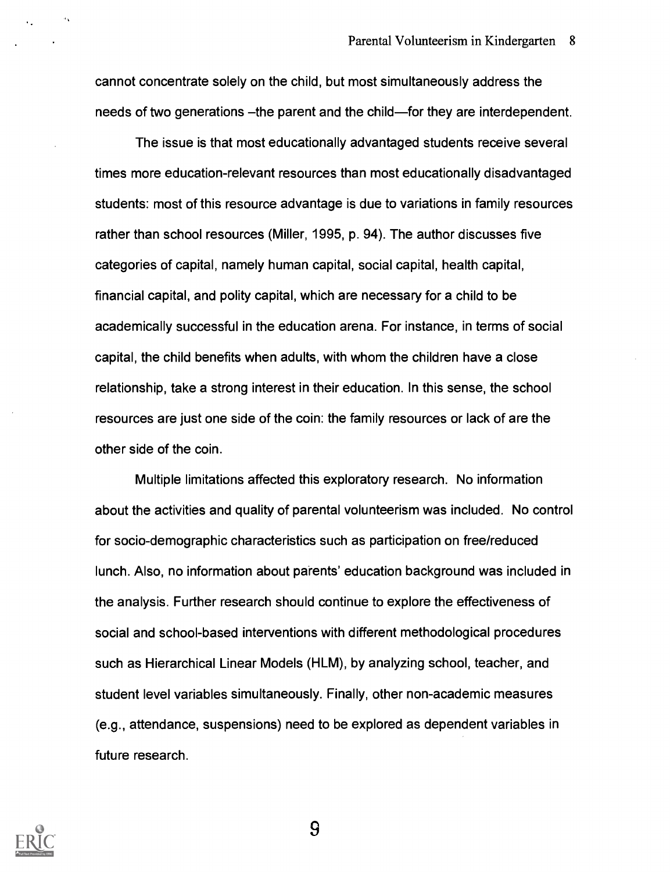cannot concentrate solely on the child, but most simultaneously address the needs of two generations – the parent and the child—for they are interdependent.

The issue is that most educationally advantaged students receive several times more education-relevant resources than most educationally disadvantaged students: most of this resource advantage is due to variations in family resources rather than school resources (Miller, 1995, p. 94). The author discusses five categories of capital, namely human capital, social capital, health capital, financial capital, and polity capital, which are necessary for a child to be academically successful in the education arena. For instance, in terms of social capital, the child benefits when adults, with whom the children have a close relationship, take a strong interest in their education. In this sense, the school resources are just one side of the coin: the family resources or lack of are the other side of the coin.

Multiple limitations affected this exploratory research. No information about the activities and quality of parental volunteerism was included. No control for socio-demographic characteristics such as participation on free/reduced lunch. Also, no information about parents' education background was included in the analysis. Further research should continue to explore the effectiveness of social and school-based interventions with different methodological procedures such as Hierarchical Linear Models (HLM), by analyzing school, teacher, and student level variables simultaneously. Finally, other non-academic measures (e.g., attendance, suspensions) need to be explored as dependent variables in future research.

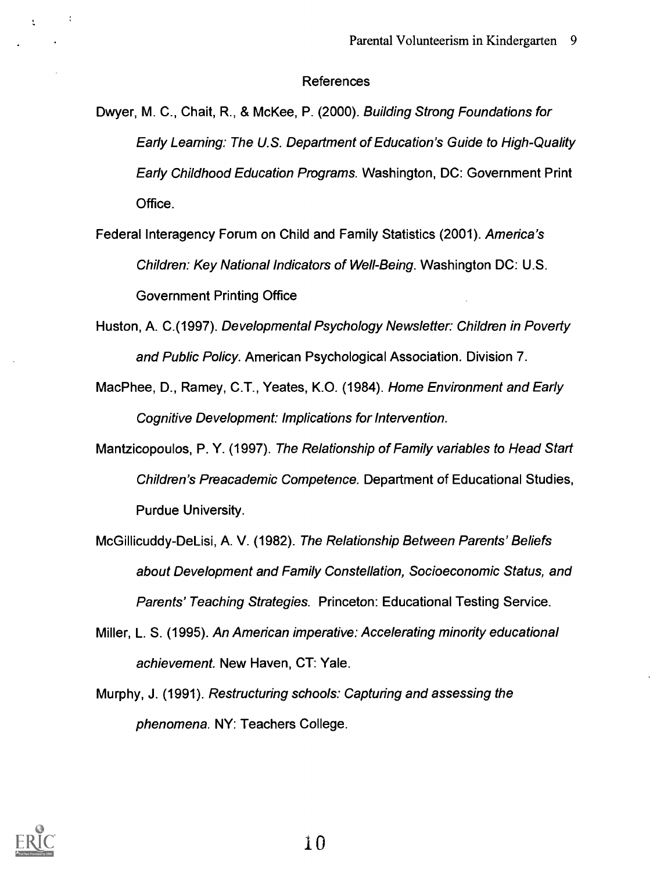#### References

- Dwyer, M. C., Chait, R., & McKee, P. (2000). Building Strong Foundations for Early Learning: The U.S. Department of Education's Guide to High-Quality Early Childhood Education Programs. Washington, DC: Government Print Office.
- Federal Interagency Forum on Child and Family Statistics (2001). America's Children: Key National Indicators of Well-Being. Washington DC: U.S. Government Printing Office
- Huston, A. C.(1997). Developmental Psychology Newsletter: Children in Poverty and Public Policy. American Psychological Association. Division 7.
- MacPhee, D., Ramey, C.T., Yeates, K.O. (1984). Home Environment and Early Cognitive Development: Implications for Intervention.
- Mantzicopoulos, P. Y. (1997). The Relationship of Family variables to Head Start Children's Preacademic Competence. Department of Educational Studies, Purdue University.
- McGillicuddy-DeLisi, A. V. (1982). The Relationship Between Parents' Beliefs about Development and Family Constellation, Socioeconomic Status, and Parents' Teaching Strategies. Princeton: Educational Testing Service.
- Miller, L. S. (1995). An American imperative: Accelerating minority educational achievement. New Haven, CT: Yale.
- Murphy, J. (1991). Restructuring schools: Capturing and assessing the phenomena. NY: Teachers College.



 $\sim 10$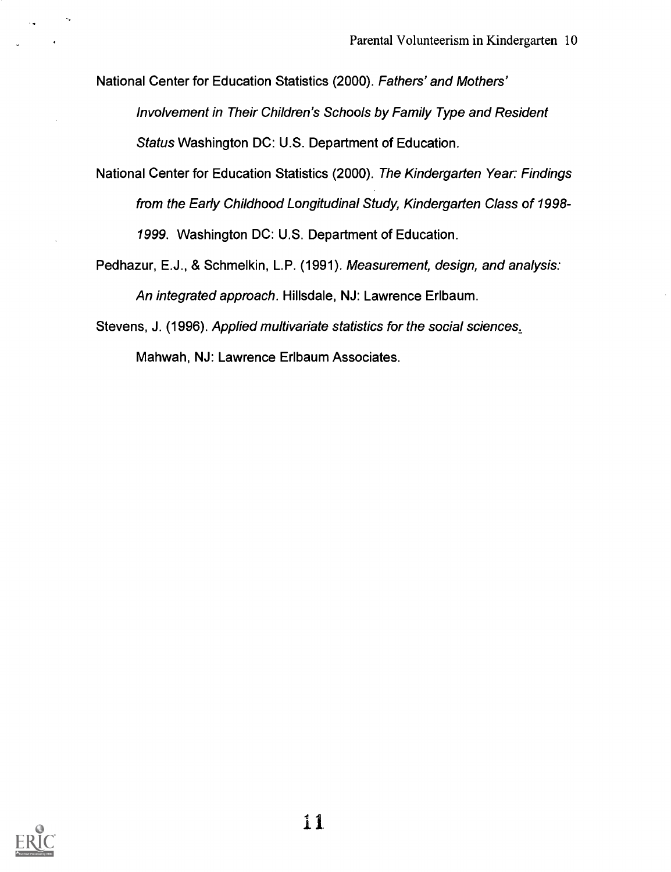National Center for Education Statistics (2000). Fathers' and Mothers' Involvement in Their Children's Schools by Family Type and Resident Status Washington DC: U.S. Department of Education.

- National Center for Education Statistics (2000). The Kindergarten Year: Findings from the Early Childhood Longitudinal Study, Kindergarten Class of 1998- 1999. Washington DC: U.S. Department of Education.
- Pedhazur, E.J., & Schmelkin, L.P. (1991). Measurement, design, and analysis: An integrated approach. Hillsdale, NJ: Lawrence Erlbaum.

Stevens, J. (1996). Applied multivariate statistics for the social sciences,

Mahwah, NJ: Lawrence Erlbaum Associates.

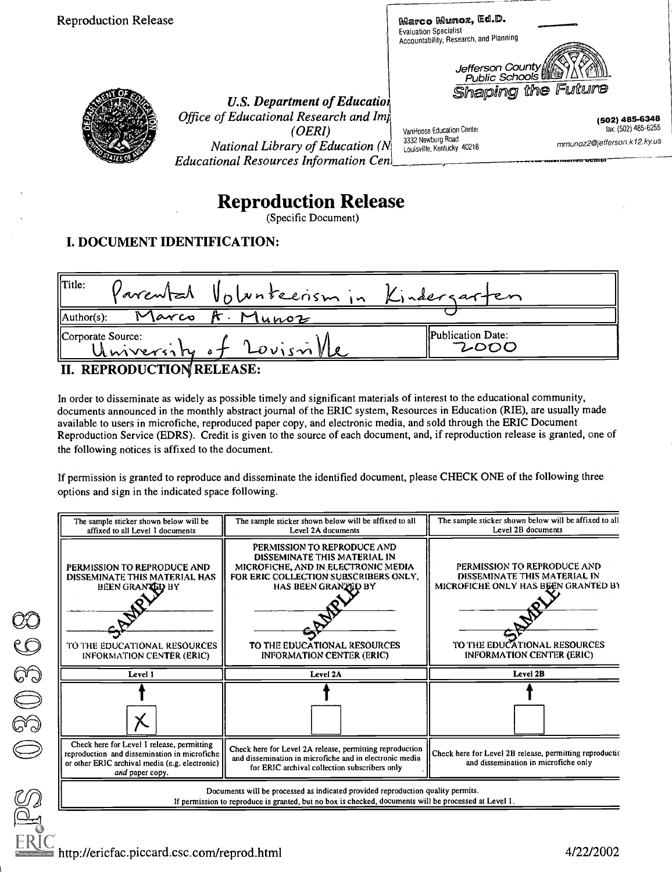Reproduction Release

Marco Munoz, Ed.D.<br>Evaluation Specialist Evaluation Specialist Accountability, Research, and Planning

VanHoose Education Center

3332 Newburg Road<br>Louisville, Kentucky 40218



4111..17

(502) 485-6348 lax: (502) 485-6255

mmunoz2@jefferson.k12.kyus



U.S. Department of Educatiol Office of Educational Research and Imp (OERI) *National Library of Education*  $(N_1^1)$  3332 Newburg Road **Educational Resources Information Cen** 

# Reproduction Release

(Specific Document)

# I. DOCUMENT IDENTIFICATION:



In order to disseminate as widely as possible timely and significant materials of interest to the educational community, documents announced in the monthly abstract journal of the ERIC system, Resources in Education (RIE), are usually made available to users in microfiche, reproduced paper copy, and electronic media, and sold through the ERIC Document Reproduction Service (EDRS). Credit is given to the source of each document, and, if reproduction release is granted, one of the following notices is affixed to the document.

If permission is granted to reproduce and disseminate the identified document, please CHECK ONE of the following three options and sign in the indicated space following.